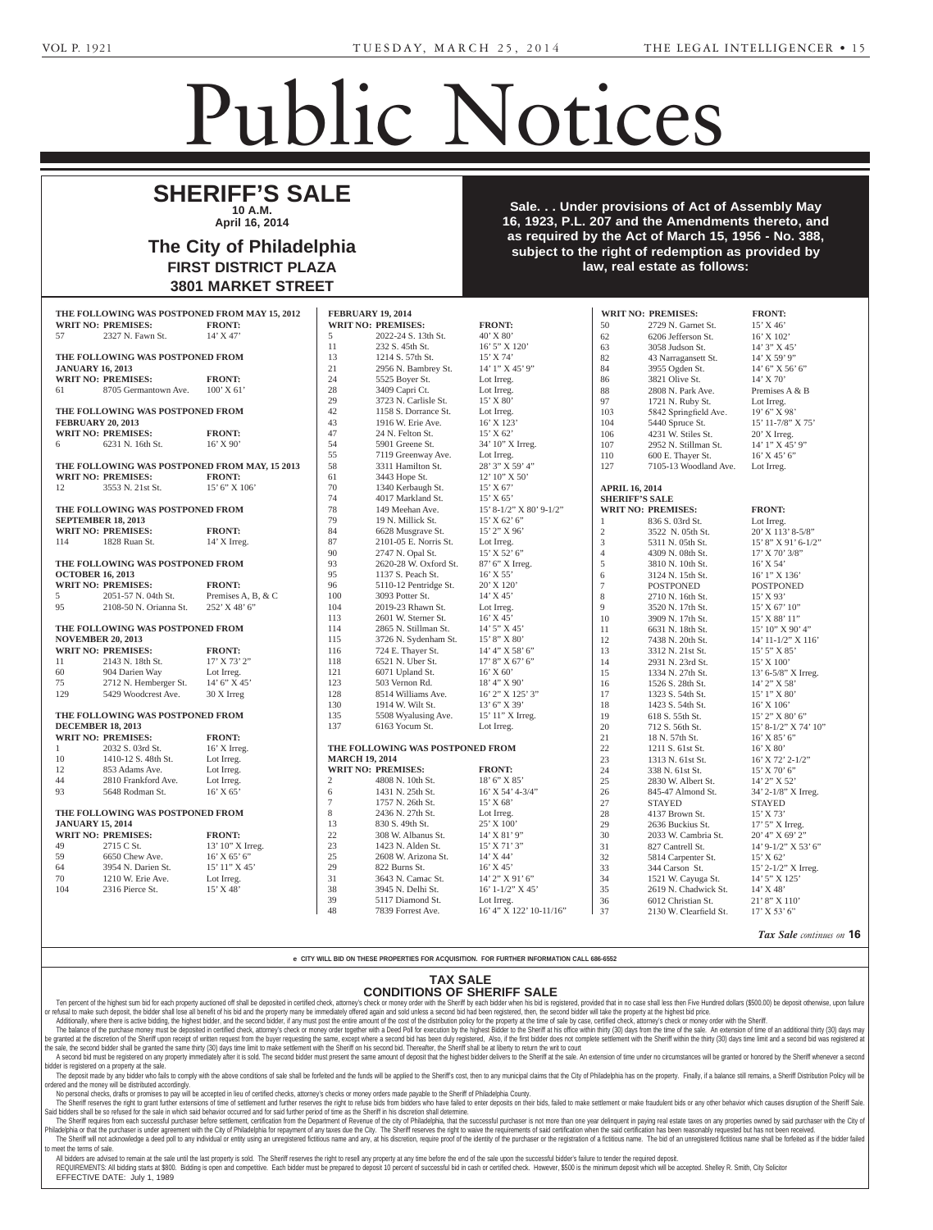## Public Notices

Philadelphia, PA 19103-2968.

## **SHERIFF'S SALE 10 A.M. April 16, 2014** April 10, 2014

The City of Philadelphia **FIRST DISTRICT PLAZA 3801 MARKET STREET** Section 3162 of the Probate,  $\sim$  1972 (Act No. 1972 (Act No. 1972 (Act No. 1972 (Act No. 1972 (Act No. 1972 (Act No. 1972 (Act No. 1972 (Act No. 1972 (Act No. 1972 (Act No. 1972 (Act No. 1972 (Act No. 1972 (Act No. 1972 (Act No. 1972 (Act No. 1972 ( **J. GOLA and THOMAS GOLA)** v of Philadelphia.  $\frac{1}{\sqrt{2}}$ . DISTRICT PLAZA  $\frac{1}{2}$ MARKET STREET

Sale. . . Under provisions of Act of Assembly May **Allac 16, 1923, P.L. 207 and the Amendments thereto, and Fact 28 as required by the Act of March 15, 1956 - No. 388, subject to the right of redemption as provided by law, real estate as follows:**  $\blacksquare$ **KELLY, AGNES** -- Jacqueline Market Street, Philadelphia, PA Attorney, Teeters Harvey Marrone & Kaier, 1835 Market Street,  $\mathcal{C}$ , F.L. ZUT and the Ameri to the right of redempt  $\Gamma$  philadelphia,  $\Gamma$  $T_{\rm eff}$   $T_{\rm eff}$   $T_{\rm eff}$   $T_{\rm eff}$   $T_{\rm eff}$  $\overline{\mathbf{r}}$  as provided by **Moore** was provided by

|                                                                           |                                               | JUVI INAINNEI VIINEEI |                       |                                  |                           |                             |                           |                           |
|---------------------------------------------------------------------------|-----------------------------------------------|-----------------------|-----------------------|----------------------------------|---------------------------|-----------------------------|---------------------------|---------------------------|
| <b>FEBRUARY 19, 2014</b><br>THE FOLLOWING WAS POSTPONED FROM MAY 15, 2012 |                                               |                       |                       |                                  |                           |                             |                           |                           |
|                                                                           |                                               |                       |                       |                                  |                           |                             | <b>WRIT NO: PREMISES:</b> | <b>FRONT:</b>             |
|                                                                           | <b>WRIT NO: PREMISES:</b>                     | <b>FRONT:</b>         |                       | <b>WRIT NO: PREMISES:</b>        | <b>FRONT:</b>             | 50                          | 2729 N. Garnet St.        | 15' X 46'                 |
| 57                                                                        | 2327 N. Fawn St.                              | 14' X 47'             | 5                     | 2022-24 S. 13th St.              | 40' X 80'                 | 62                          | 6206 Jefferson St.        | 16' X 102'                |
|                                                                           |                                               |                       | 11                    | 232 S. 45th St.                  | 16' 5" X 120'             | 63                          | 3058 Judson St.           | 14' 3" X 45'              |
| THE FOLLOWING WAS POSTPONED FROM                                          |                                               |                       | 13                    | 1214 S. 57th St.                 | 15' X 74'                 | 82                          | 43 Narragansett St.       | $14'$ X 59' 9"            |
|                                                                           | <b>JANUARY 16, 2013</b>                       |                       | 21                    | 2956 N. Bambrey St.              | 14' 1" X 45' 9"           | 84                          | 3955 Ogden St.            | 14' 6" X 56' 6"           |
|                                                                           | <b>WRIT NO: PREMISES:</b>                     | <b>FRONT:</b>         | 24                    | 5525 Boyer St.                   | Lot Irreg.                | 86                          | 3821 Olive St.            | $14'$ X 70'               |
| 61                                                                        | 8705 Germantown Ave.                          | $100'$ X 61'          | 28                    | 3409 Capri Ct.                   | Lot Irreg.                | 88                          | 2808 N. Park Ave.         | Premises A & B            |
|                                                                           |                                               |                       | 29                    | 3723 N. Carlisle St.             | 15' X 80'                 | 97                          | 1721 N. Ruby St.          | Lot Irreg.                |
| THE FOLLOWING WAS POSTPONED FROM                                          |                                               | 42                    | 1158 S. Dorrance St.  | Lot Irreg.                       | 103                       | 5842 Springfield Ave.       | 19' 6" X 98'              |                           |
|                                                                           | <b>FEBRUARY 20, 2013</b>                      |                       | 43                    | 1916 W. Erie Ave.                | 16' X 123'                | 104                         | 5440 Spruce St.           | $15'$ 11-7/8" X 75"       |
|                                                                           | <b>WRIT NO: PREMISES:</b>                     | <b>FRONT:</b>         | 47                    | 24 N. Felton St.                 | 15' X 62'                 | 106                         | 4231 W. Stiles St.        | $20'$ X Irreg.            |
| 6                                                                         | 6231 N. 16th St.                              | $16'$ X 90'           | 54                    | 5901 Greene St.                  | 34' 10" X Irreg.          | 107                         | 2952 N. Stillman St.      | $14'1''$ X $45'9''$       |
|                                                                           |                                               |                       | 55                    | 7119 Greenway Ave.               | Lot Irreg.                | 110                         | 600 E. Thayer St.         | $16'$ X 45' 6"            |
|                                                                           | THE FOLLOWING WAS POSTPONED FROM MAY, 15 2013 |                       | 58                    | 3311 Hamilton St.                | 28' 3" X 59' 4"           | 127                         | 7105-13 Woodland Ave.     | Lot Irreg.                |
|                                                                           | <b>WRIT NO: PREMISES:</b>                     | <b>FRONT:</b>         | 61                    | 3443 Hope St.                    | 12' 10" X 50'             |                             |                           |                           |
| 12                                                                        | 3553 N. 21st St.                              | 15' 6" X 106'         | 70                    | 1340 Kerbaugh St.                | $15'$ X 67'               | <b>APRIL 16, 2014</b>       |                           |                           |
|                                                                           |                                               |                       | 74                    | 4017 Markland St.                | 15' X 65'                 | <b>SHERIFF'S SALE</b>       |                           |                           |
| THE FOLLOWING WAS POSTPONED FROM                                          |                                               |                       | 78                    | 149 Meehan Ave.                  | 15' 8-1/2" X 80' 9-1/2"   |                             | <b>WRIT NO: PREMISES:</b> | <b>FRONT:</b>             |
|                                                                           | <b>SEPTEMBER 18, 2013</b>                     |                       | 79                    | 19 N. Millick St.                | 15' X 62' 6'              | -1                          | 836 S. 03rd St.           | Lot Irreg.                |
|                                                                           | <b>WRIT NO: PREMISES:</b>                     | <b>FRONT:</b>         | 84                    | 6628 Musgrave St.                | 15' 2" X 96'              | $\sqrt{2}$                  | 3522 N. 05th St.          | 20' X 113' 8-5/8"         |
| 114                                                                       | 1828 Ruan St.                                 | $14'$ X Irreg.        | 87                    | 2101-05 E. Norris St.            | Lot Irreg.                | $\ensuremath{\mathfrak{Z}}$ | 5311 N. 05th St.          | 15' 8" X 91' 6-1/2"       |
|                                                                           |                                               |                       | $90\,$                | 2747 N. Opal St.                 | $15'$ X 52' 6"            | $\overline{4}$              | 4309 N. 08th St.          | $17'$ X 70' 3/8"          |
|                                                                           | THE FOLLOWING WAS POSTPONED FROM              |                       | 93                    | 2620-28 W. Oxford St.            | 87' 6" X Irreg.           | $\sqrt{5}$                  | 3810 N. 10th St.          | $16'$ X 54'               |
|                                                                           | <b>OCTOBER 16, 2013</b>                       |                       | 95                    | 1137 S. Peach St.                | $16'$ X 55'               | 6                           | 3124 N. 15th St.          | 16' 1" X 136'             |
|                                                                           | <b>WRIT NO: PREMISES:</b>                     | <b>FRONT:</b>         | 96                    | 5110-12 Pentridge St.            | 20' X 120'                | $\overline{7}$              | <b>POSTPONED</b>          | <b>POSTPONED</b>          |
| 5                                                                         | 2051-57 N. 04th St.                           | Premises A, B, & C    | 100                   | 3093 Potter St.                  | 14' X 45'                 | $\,8\,$                     | 2710 N. 16th St.          | $15'$ X 93'               |
| 95                                                                        | 2108-50 N. Orianna St.                        | 252' X 48' 6"         | 104                   | 2019-23 Rhawn St.                | Lot Irreg.                | 9                           | 3520 N. 17th St.          | 15' X 67' 10"             |
|                                                                           |                                               |                       | 113                   | 2601 W. Sterner St.              | $16'$ X 45'               | 10                          | 3909 N. 17th St.          | 15' X 88' 11"             |
| THE FOLLOWING WAS POSTPONED FROM                                          |                                               | 114                   | 2865 N. Stillman St.  | $14'$ 5" X 45"                   | 11                        | 6631 N. 18th St.            | 15' 10" X 90' 4"          |                           |
|                                                                           | <b>NOVEMBER 20, 2013</b>                      |                       | 115                   | 3726 N. Sydenham St.             | 15' 8" X 80'              | 12                          | 7438 N. 20th St.          | 14' 11-1/2" X 116'        |
|                                                                           | <b>WRIT NO: PREMISES:</b>                     | <b>FRONT:</b>         | 116                   | 724 E. Thayer St.                | 14' 4'' X 58' 6''         | 13                          | 3312 N. 21st St.          | 15' 5" X 85'              |
| 11                                                                        | 2143 N. 18th St.                              | 17' X 73' 2"          | 118                   | 6521 N. Uber St.                 | $17'8''$ X 67' 6"         | 14                          | 2931 N. 23rd St.          | $15'$ X $100'$            |
| 60                                                                        | 904 Darien Way                                | Lot Irreg.            | 121                   | 6071 Upland St.                  | $16^\circ\,$ X $60^\circ$ | 15                          | 1334 N. 27th St.          | 13' 6-5/8" X Irreg.       |
| 75                                                                        | 2712 N. Hemberger St.                         | 14' 6" X 45'          | 123                   | 503 Vernon Rd.                   | 18' 4" X 90'              | 16                          | 1526 S. 28th St.          | 14' 2" X 58'              |
| 129                                                                       | 5429 Woodcrest Ave.                           | 30 X Irreg            | 128                   | 8514 Williams Ave.               | 16' 2" X 125' 3"          | 17                          | 1323 S. 54th St.          | 15' 1" X 80'              |
|                                                                           |                                               |                       | 130                   | 1914 W. Wilt St.                 | 13' 6" X 39'              | 18                          | 1423 S. 54th St.          | 16' X 106'                |
|                                                                           | THE FOLLOWING WAS POSTPONED FROM              |                       | 135                   | 5508 Wyalusing Ave.              | 15' 11" X Irreg.          | 19                          | 618 S. 55th St.           | 15' 2" X 80' 6"           |
|                                                                           | <b>DECEMBER 18, 2013</b>                      |                       | 137                   | 6163 Yocum St.                   | Lot Irreg.                | 20                          | 712 S. 56th St.           | 15' 8-1/2" X 74' 10"      |
|                                                                           | <b>FRONT:</b><br><b>WRIT NO: PREMISES:</b>    |                       |                       |                                  |                           | 21                          | 18 N. 57th St.            | $16'$ X 85' 6"            |
| -1                                                                        | 2032 S. 03rd St.                              | 16' X Irreg.          |                       | THE FOLLOWING WAS POSTPONED FROM |                           | 22                          | 1211 S. 61st St.          | $16'$ X $80'$             |
| 10                                                                        | 1410-12 S. 48th St.                           | Lot Irreg.            | <b>MARCH 19, 2014</b> |                                  |                           | 23                          | 1313 N. 61st St.          | 16' X 72' 2-1/2"          |
| 12                                                                        | 853 Adams Ave.                                | Lot Irreg.            |                       | <b>WRIT NO: PREMISES:</b>        | <b>FRONT:</b>             | 24                          | 338 N. 61st St.           | 15' X 70' 6"              |
| 44                                                                        | 2810 Frankford Ave.                           | Lot Irreg.            | $\overline{2}$        | 4808 N. 10th St.                 | 18' 6" X 85'              | 25                          | 2830 W. Albert St.        | 14' 2" X 52'              |
| 93                                                                        | 5648 Rodman St.                               | $16'$ X 65'           | 6                     | 1431 N. 25th St.                 | $16'$ X 54' 4-3/4"        | 26                          | 845-47 Almond St.         | $34'$ 2-1/8" X Irreg.     |
|                                                                           |                                               |                       |                       | 1757 N. 26th St.                 | 15' X 68'                 | 27                          | <b>STAYED</b>             | <b>STAYED</b>             |
| THE FOLLOWING WAS POSTPONED FROM                                          |                                               |                       | 8                     | 2436 N. 27th St.                 | Lot Irreg.                | 28                          | 4137 Brown St.            | 15' X 73'                 |
| <b>JANUARY 15, 2014</b>                                                   |                                               | 13                    | 830 S. 49th St.       | 25' X 100'                       | 29                        | 2636 Buckius St.            | 17' 5" X Irreg.           |                           |
|                                                                           | <b>WRIT NO: PREMISES:</b>                     | <b>FRONT:</b>         | 22                    | 308 W. Albanus St.               | 14' X 81' 9"              | 30                          | 2033 W. Cambria St.       | 20' 4" X 69' 2"           |
| 49                                                                        | 2715 C St.                                    | $13'$ 10" X Irreg.    | 23                    | 1423 N. Alden St.                | $15'$ X 71' 3"            | 31                          | 827 Cantrell St.          | $14'$ 9-1/2" X 53' 6"     |
| 59                                                                        | 6650 Chew Ave.                                | $16'$ X 65' 6"        | 25                    | 2608 W. Arizona St.              | 14' X 44'                 | 32                          | 5814 Carpenter St.        | 15' X 62'                 |
| 64                                                                        | 3954 N. Darien St.                            | 15' 11" X 45'         | 29                    | 822 Burns St.                    | $16'$ X 45'               | 33                          | 344 Carson St.            | $15'$ 2- $1/2''$ X Irreg. |
| 70                                                                        | 1210 W. Erie Ave.                             | Lot Irreg.            | 31                    | 3643 N. Camac St.                | 14' 2" X 91' 6"           | 34                          | 1521 W. Cayuga St.        | 14' 5" X 125'             |
| 104                                                                       | 2316 Pierce St.                               | 15' X 48'             | 38                    | 3945 N. Delhi St.                | $16' 1 - 1/2'' X 45'$     | 35                          | 2619 N. Chadwick St.      | 14' X 48'                 |
|                                                                           |                                               |                       | 39                    | 5117 Diamond St.                 | Lot Irreg.                | 36                          | 6012 Christian St.        | 21' 8" X 110'             |
|                                                                           |                                               |                       | 48                    | 7839 Forrest Ave.                | $16'$ 4" X 122' 10-11/16" | 37                          | 2130 W. Clearfield St.    | 17' X 53' 6"              |
|                                                                           |                                               |                       |                       |                                  |                           |                             |                           |                           |

**Tax Sale** continues on **16** 

e CITY WILL BID ON THESE PROPERTIES FOR ACQUISITION. FOR FURTHER INFORMATION CALL 686-6552 PROPERTIES FOR ACQUISITION. FOR FURTHER INFORMATION CALL 686-6552  $M$ A 110N CALL 080-0332

### TAX SALE CONDITIONS OF SHERIFF SALE  $R(X)$ SALE $\sim$  -  $\sim$  501B, Phil-McCracken Walker & Rhoads . Broad Street, Phila-Street, Phila-Street, Phila-Street, Phila-Street, Phila-Street, Phila-Street, Phila-Street, Phila-Street, Phila-Street, Phila-Street, Phila-Street, Phila-Street, Phila-Street, Phila-Street, Phila-Str

Executrix, c/o C. Scott Meyer,

Ten percent of the highest sum bid for each property auctioned off shall be deposited in certified check, attorney's check or money order with the Sheriff by each bidder when his bid is registered, provided that in no case or refusal to the contract of the state of the state of the state of the state of the state of the state of the state of the state of the state of the state of the state of the state of the state of the state of the state Ten percent of the highest sum bid for each property auctioned off shall be deposited in certified check, attorney's check or money order with the Sheriff by each bidder when his s registered, provided that in no

Additionally, where there is active bidding, the highest bidder, and the second bidder, if any must post the entire amount of the cost of the distribution policy for the property at the time of sale by case, certified chec The balance of the purchase money must be deposited in certified check, attorney's check or money order together with a Deed Poll for execution by the highest Bidder to the Sheriff at his office within thirty (30) days fro The balance of the purchase money must be deposited in certified check, attorney's check of money scheck of money order together with a Deed Poil for execution by the ingrister bidea benefit at his office server at money ( the sale, the second bidder shall be granted the same thirty (30) days time limit to make settlement with the Sheriff on his second bid. Thereafter, the Sheriff shall be at liberty to return the writ to court

A second bid must be registered on any property immediately after it is sold. The second bidder must present the same amount of deposit that the highest bidder delivers to the Sheriff at the sale. An extension of time unde bidder is registered on a property at the sale. econd bid. Thereafter, the Sheriff shall be at liberty to return the writ to court<br>amount of deposit that the highest bidder delivers to the Sheriff at the sale. An extension of time under no circumstances will be granted

er is registered on a property at the sale.<br>The deposit made by any bidder who fails to comply with the above conditions of sale shall be forfeited and the funds will be applied to the Sheriff's cost, then to any municipal ordered and the money will be distributed accordingly.

No personal checks, drafts or promises to pay will be accepted in lieu of certified checks, attorney's checks or money orders made payable to the Sheriff of Philadelphia County.

Blvd., Two Penn Center, Ste.

3-11-3

The Sheriff reserves the right to grant further extensions of time of settlement and further reserves the right to refuse bids from bidders who have failed to enter deposits on their deposits on their deposits on their bid Said bidders shall be so refused for the sale in which said behavior occurred and for said further period of time as the Sheriff in his discretion shall determine. nt bids or any other behavior which causes disn

The Sheriff requires from each successful purchaser before settlement, certification from the Department of Revenue of the city of Philadelphia, that the successful purchaser is not more than one year delinquent in paying Philadelphia or that the purchaser is under agreement with the City of Philadelphia for repayment of any taxes due the City. The Sheriff reserves the right to waive the requirements of said certification when the said cert The Sheriff will not acknowledge a deed poll to any individual or entity using an unregistered fictitious name and any, at his discretion, require proof of the identity of the purchaser or the registration of a fictitious to meet the terms of sale. 104, Glenside, PA 19038.

to meet the terms of sale.<br>All bidders are advised to remain at the sale until the last property is sold. The Sheriff reserves the right to resell any property at any time before the end of the sale upon the successful bid REQUIREMENTS: All bidding starts at \$800. Bidding is open and competitive. Each bidder must be prepared to deposit 10 percent of successful bid in cash or certified check. However, \$500 is the minimum deposit which will be EFFECTIVE DATE: July 1, 1989 e sale until th to resell upon the su

**CELLUCCI, JOHN J. -- Karina** Cellucci, Administratrix, 45 M.